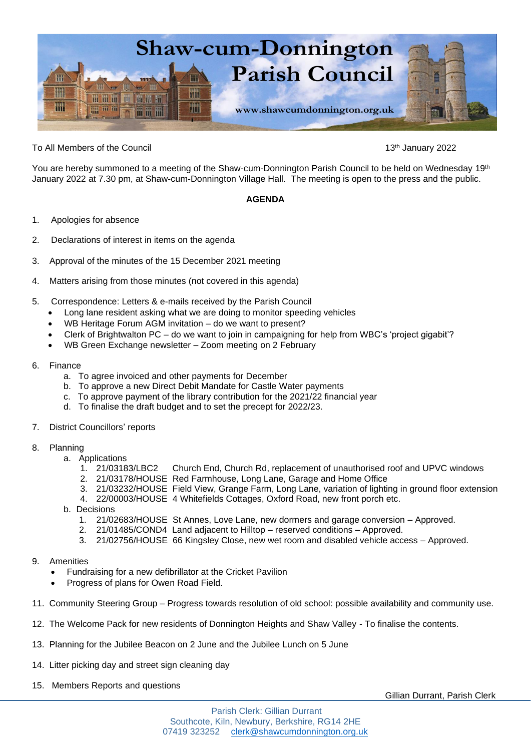

To All Members of the Council 13th January 2022

You are hereby summoned to a meeting of the Shaw-cum-Donnington Parish Council to be held on Wednesday 19<sup>th</sup> January 2022 at 7.30 pm, at Shaw-cum-Donnington Village Hall. The meeting is open to the press and the public.

## **AGENDA**

- 1. Apologies for absence
- 2. Declarations of interest in items on the agenda
- 3. Approval of the minutes of the 15 December 2021 meeting
- 4. Matters arising from those minutes (not covered in this agenda)
- 5. Correspondence: Letters & e-mails received by the Parish Council
	- Long lane resident asking what we are doing to monitor speeding vehicles
	- WB Heritage Forum AGM invitation do we want to present?
	- Clerk of Brightwalton PC do we want to join in campaigning for help from WBC's 'project gigabit'?
	- WB Green Exchange newsletter Zoom meeting on 2 February
- 6. Finance
	- a. To agree invoiced and other payments for December
	- b. To approve a new Direct Debit Mandate for Castle Water payments
	- c. To approve payment of the library contribution for the 2021/22 financial year
	- d. To finalise the draft budget and to set the precept for 2022/23.
- 7. District Councillors' reports
- 8. Planning
	- a. Applications
		- 1. 21/03183/LBC2 Church End, Church Rd, replacement of unauthorised roof and UPVC windows
		- 2. 21/03178/HOUSE Red Farmhouse, Long Lane, Garage and Home Office
		- 3. 21/03232/HOUSE Field View, Grange Farm, Long Lane, variation of lighting in ground floor extension
		- 4. 22/00003/HOUSE 4 Whitefields Cottages, Oxford Road, new front porch etc.
	- b. Decisions
		- 1. 21/02683/HOUSE St Annes, Love Lane, new dormers and garage conversion Approved.<br>2. 21/01485/COND4 Land adjacent to Hilltop reserved conditions Approved.
		- 2. 21/01485/COND4 Land adjacent to Hilltop reserved conditions Approved.
		- 3. 21/02756/HOUSE 66 Kingsley Close, new wet room and disabled vehicle access Approved.

## 9. Amenities

- Fundraising for a new defibrillator at the Cricket Pavilion
- Progress of plans for Owen Road Field.
- 11. Community Steering Group Progress towards resolution of old school: possible availability and community use.
- 12. The Welcome Pack for new residents of Donnington Heights and Shaw Valley To finalise the contents.
- 13. Planning for the Jubilee Beacon on 2 June and the Jubilee Lunch on 5 June
- 14. Litter picking day and street sign cleaning day
- 15. Members Reports and questions

Gillian Durrant, Parish Clerk